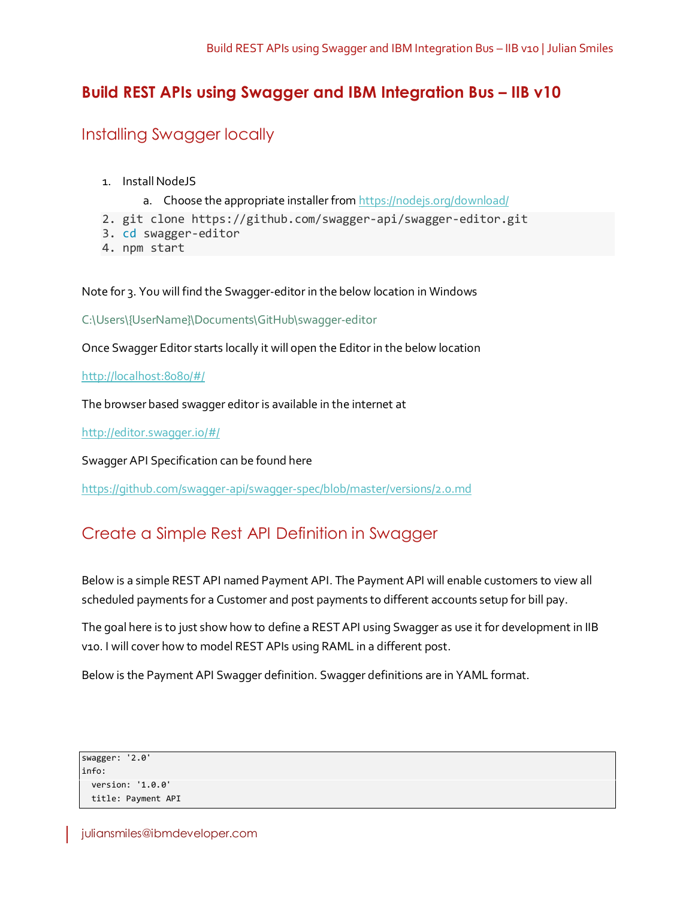# **Build REST APIs using Swagger and IBM Integration Bus – IIB v10**

# Installing Swagger locally

- 1. Install NodeJS
	- a. Choose the appropriate installer from<https://nodejs.org/download/>
- 2. git clone https://github.com/swagger-api/swagger-editor.git
- 3. cd swagger-editor
- 4. npm start

Note for 3. You will find the Swagger-editor in the below location in Windows

C:\Users\{UserName}\Documents\GitHub\swagger-editor

Once Swagger Editor starts locally it will open the Editor in the below location

<http://localhost:8080/#/>

The browser based swagger editor is available in the internet at

<http://editor.swagger.io/#/>

Swagger API Specification can be found here

<https://github.com/swagger-api/swagger-spec/blob/master/versions/2.0.md>

# Create a Simple Rest API Definition in Swagger

Below is a simple REST API named Payment API. The Payment API will enable customers to view all scheduled payments for a Customer and post payments to different accounts setup for bill pay.

The goal here is to just show how to define a REST API using Swagger as use it for development in IIB v10. I will cover how to model REST APIs using RAML in a different post.

Below is the Payment API Swagger definition. Swagger definitions are in YAML format.

```
swagger: '2.0'
info:
  version: '1.0.0'
  title: Payment API
```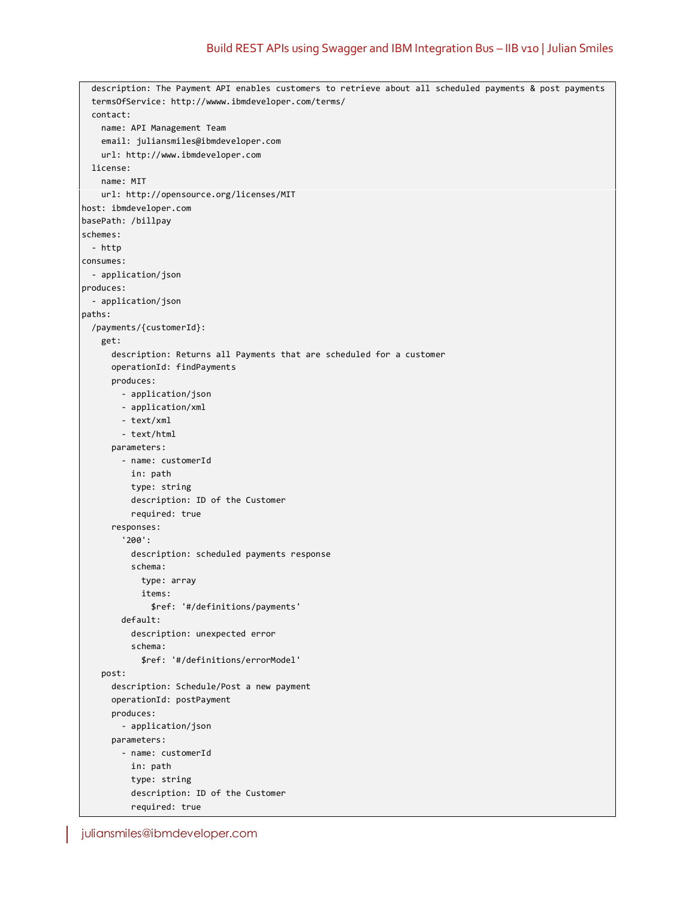```
 description: The Payment API enables customers to retrieve about all scheduled payments & post payments
   termsOfService: http://wwww.ibmdeveloper.com/terms/
   contact:
    name: API Management Team
    email: juliansmiles@ibmdeveloper.com
     url: http://www.ibmdeveloper.com
  license:
    name: MIT
    url: http://opensource.org/licenses/MIT
host: ibmdeveloper.com
basePath: /billpay
schemes:
  - http
consumes:
  - application/json
produces:
  - application/json
paths:
   /payments/{customerId}:
     get:
       description: Returns all Payments that are scheduled for a customer
       operationId: findPayments
       produces:
         - application/json
         - application/xml
         - text/xml
         - text/html
       parameters:
         - name: customerId
           in: path
           type: string
           description: ID of the Customer
           required: true
       responses:
         '200':
           description: scheduled payments response
           schema:
             type: array
             items:
               $ref: '#/definitions/payments'
         default:
           description: unexpected error
           schema:
             $ref: '#/definitions/errorModel'
     post:
       description: Schedule/Post a new payment
       operationId: postPayment
       produces:
         - application/json
       parameters:
         - name: customerId
           in: path
           type: string
           description: ID of the Customer
           required: true
```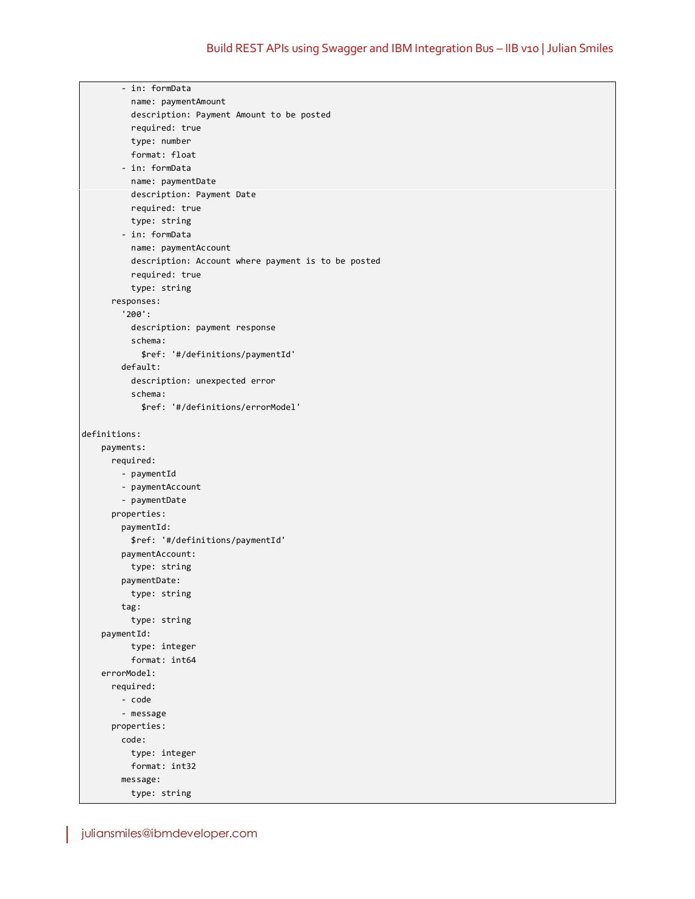```
 - in: formData
           name: paymentAmount
           description: Payment Amount to be posted
           required: true
           type: number
           format: float
         - in: formData
           name: paymentDate
           description: Payment Date
           required: true
           type: string
         - in: formData
           name: paymentAccount
           description: Account where payment is to be posted
           required: true
           type: string
       responses:
         '200':
           description: payment response
           schema:
             $ref: '#/definitions/paymentId'
         default:
           description: unexpected error
           schema:
             $ref: '#/definitions/errorModel'
definitions:
     payments:
       required:
         - paymentId
         - paymentAccount
         - paymentDate
       properties:
         paymentId:
           $ref: '#/definitions/paymentId'
         paymentAccount:
           type: string
         paymentDate:
           type: string
         tag:
           type: string
     paymentId:
           type: integer
           format: int64
     errorModel:
       required:
         - code
         - message
       properties:
         code:
           type: integer
           format: int32
         message:
           type: string
```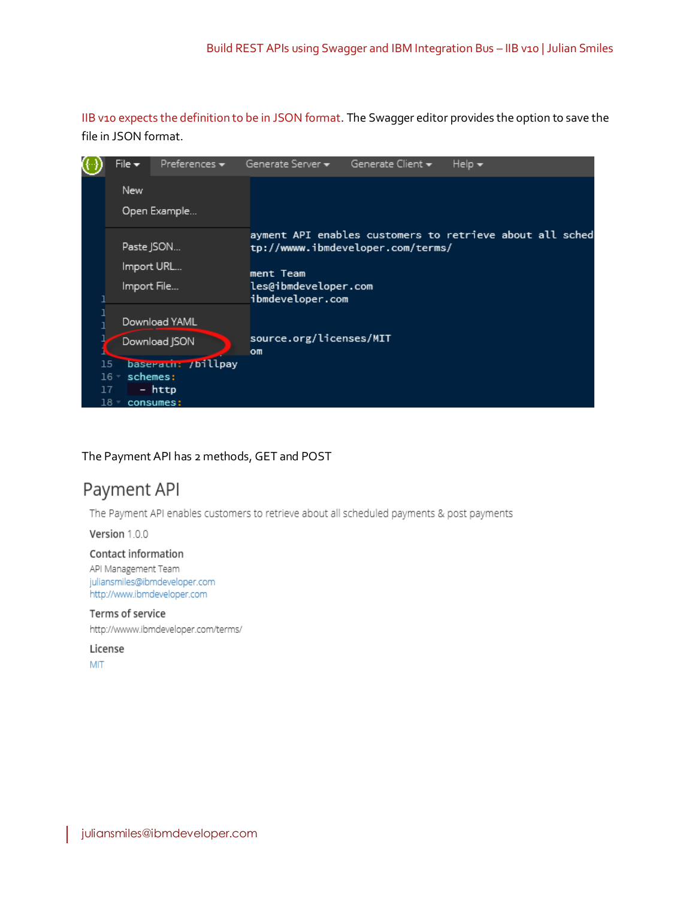IIB v10 expects the definition to be in JSON format. The Swagger editor provides the option to save the file in JSON format.



### The Payment API has 2 methods, GET and POST

# Payment API

The Payment API enables customers to retrieve about all scheduled payments & post payments

Version 1.0.0

#### Contact information

API Management Team juliansmiles@ibmdeveloper.com http://www.ibmdeveloper.com

#### Terms of service

http://wwww.ibmdeveloper.com/terms/

License

**MIT**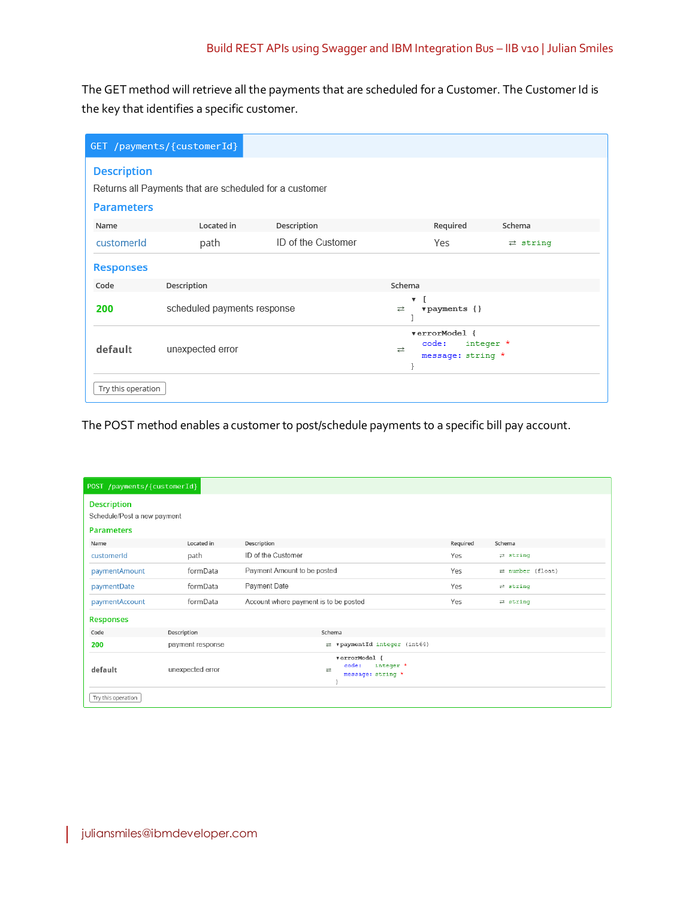The GET method will retrieve all the payments that are scheduled for a Customer. The Customer Id is the key that identifies a specific customer.

|                    | GET /payments/{customerId}                             |                    |                                                               |                           |
|--------------------|--------------------------------------------------------|--------------------|---------------------------------------------------------------|---------------------------|
| <b>Description</b> | Returns all Payments that are scheduled for a customer |                    |                                                               |                           |
| <b>Parameters</b>  |                                                        |                    |                                                               |                           |
| Name               | Located in                                             | Description        | Required                                                      | Schema                    |
| customerId         | path                                                   | ID of the Customer | Yes                                                           | $\rightleftarrows$ string |
| <b>Responses</b>   |                                                        |                    |                                                               |                           |
| Code               | Description                                            |                    | Schema                                                        |                           |
| 200                | scheduled payments response                            |                    | $\overline{\mathbf{v}}$<br>$v$ payments {}<br>⇄               |                           |
| default            | unexpected error                                       |                    | verrorModel {<br>code:<br>integer *<br>귣<br>message: string * |                           |
| Try this operation |                                                        |                    |                                                               |                           |

The POST method enables a customer to post/schedule payments to a specific bill pay account.

| POST /payments/{customerId}                                            |                  |                                                                           |          |                                   |  |  |
|------------------------------------------------------------------------|------------------|---------------------------------------------------------------------------|----------|-----------------------------------|--|--|
| <b>Description</b><br>Schedule/Post a new payment<br><b>Parameters</b> |                  |                                                                           |          |                                   |  |  |
| Name                                                                   | Located in       | Description                                                               | Required | Schema                            |  |  |
| customerId                                                             | path             | ID of the Customer                                                        | Yes      | $\rightleftarrows$ string         |  |  |
| paymentAmount                                                          | formData         | Payment Amount to be posted                                               | Yes      | $\rightleftarrows$ number (float) |  |  |
| paymentDate                                                            | formData         | Payment Date                                                              | Yes      | $\rightleftarrows$ string         |  |  |
| paymentAccount                                                         | formData         | Account where payment is to be posted                                     | Yes      | $\rightleftarrows$ string         |  |  |
| <b>Responses</b>                                                       |                  |                                                                           |          |                                   |  |  |
| Code                                                                   | Description      | Schema                                                                    |          |                                   |  |  |
| 200                                                                    | payment response | $\rightleftarrows$ vpaymentId integer (int64)                             |          |                                   |  |  |
| default                                                                | unexpected error | verrorModel {<br>code:<br>integer *<br>$\Rightarrow$<br>message: string * |          |                                   |  |  |
| Try this operation                                                     |                  |                                                                           |          |                                   |  |  |

I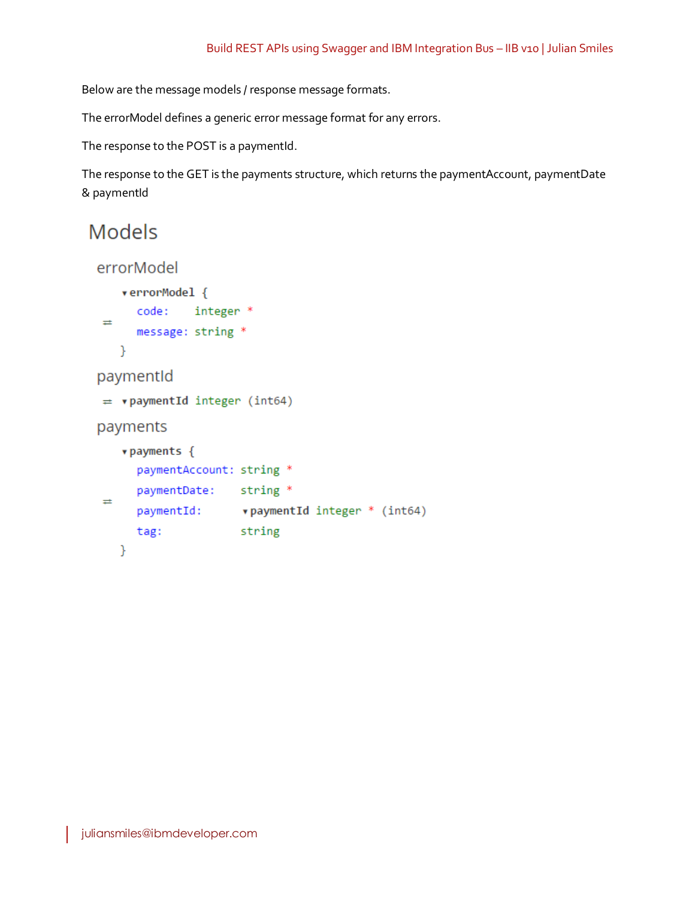Below are the message models / response message formats.

The errorModel defines a generic error message format for any errors.

The response to the POST is a paymentId.

The response to the GET is the payments structure, which returns the paymentAccount, paymentDate & paymentId

# **Models**

```
errorModel
    verrorModel {
      code: integer *
\rightleftarrowsmessage: string *
   Y
paymentId
\neq vpaymentId integer (int64)
payments
    v payments {
      paymentAccount: string *
      paymentDate: string *
\rightleftarrowspaymentId: vpaymentId integer * (int64)
      tag:
            Example 1 String
   }
```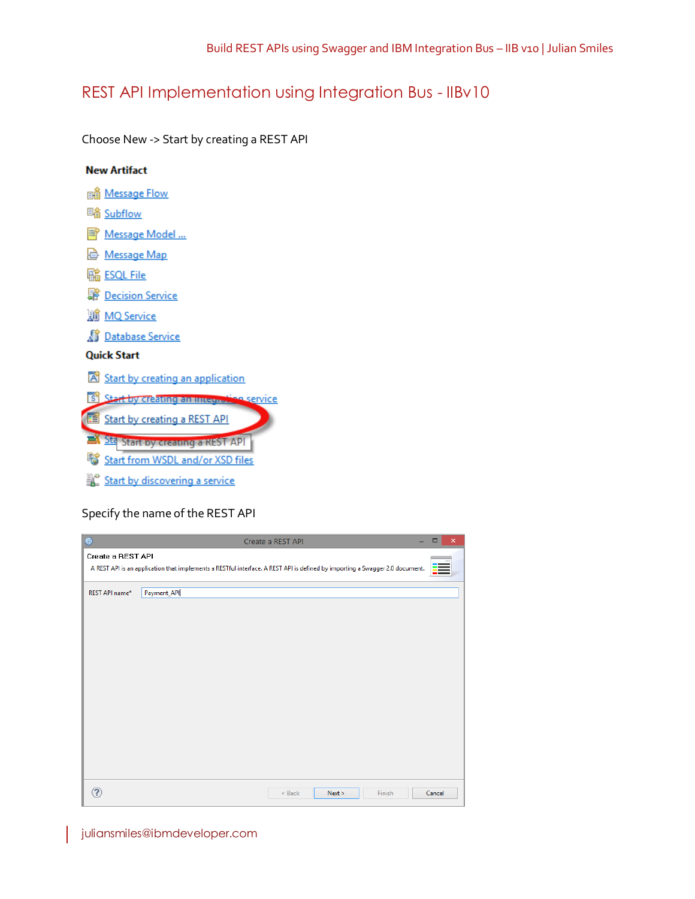# REST API Implementation using Integration Bus - IIBv10

Choose New -> Start by creating a REST API



## Specify the name of the REST API

| $\bigoplus$       | Create a REST API                                                                                                            | $\pmb{\times}$<br>$\Box$ |
|-------------------|------------------------------------------------------------------------------------------------------------------------------|--------------------------|
| Create a REST API | A REST API is an application that implements a RESTful interface. A REST API is defined by importing a Swagger 2.0 document. |                          |
| REST API name*    | Payment_API                                                                                                                  |                          |
|                   |                                                                                                                              |                          |
|                   |                                                                                                                              |                          |
|                   |                                                                                                                              |                          |
|                   |                                                                                                                              |                          |
|                   |                                                                                                                              |                          |
|                   |                                                                                                                              |                          |
|                   |                                                                                                                              |                          |
|                   |                                                                                                                              |                          |
|                   |                                                                                                                              |                          |
|                   | $<$ Back<br>Next ><br>Finish                                                                                                 | Cancel                   |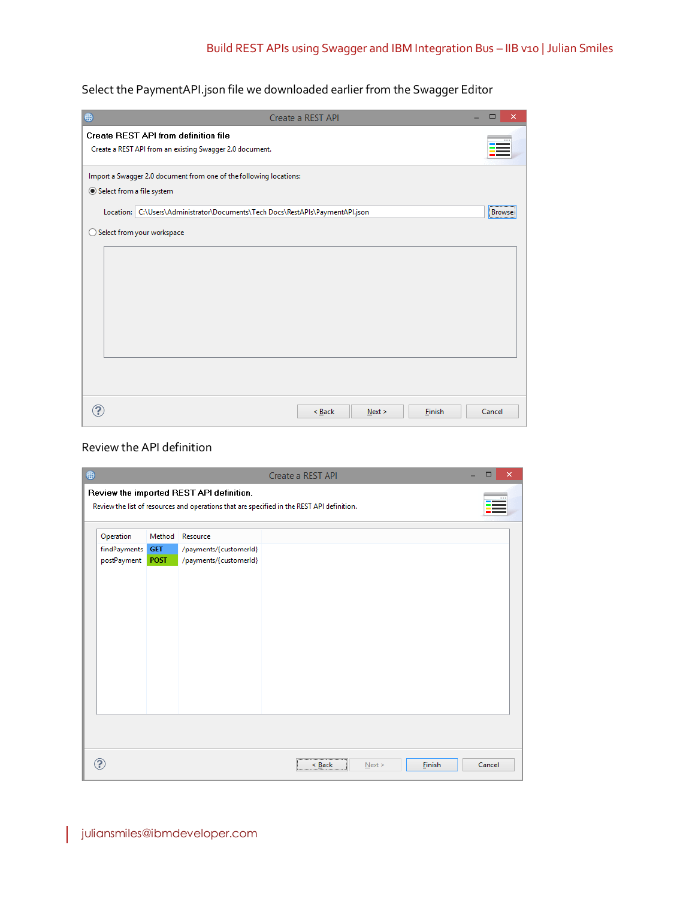Select the PaymentAPI.json file we downloaded earlier from the Swagger Editor

| ⊕                         | Create a REST API                                                             | $\Box$<br>$\times$ |  |  |  |  |
|---------------------------|-------------------------------------------------------------------------------|--------------------|--|--|--|--|
|                           | <b>Create REST API from definition file</b>                                   |                    |  |  |  |  |
|                           | Create a REST API from an existing Swagger 2.0 document.                      |                    |  |  |  |  |
|                           | Import a Swagger 2.0 document from one of the following locations:            |                    |  |  |  |  |
| Select from a file system |                                                                               |                    |  |  |  |  |
|                           | Location: C:\Users\Administrator\Documents\Tech Docs\RestAPIs\PaymentAPI.json | Browse             |  |  |  |  |
|                           | ○ Select from your workspace                                                  |                    |  |  |  |  |
|                           |                                                                               |                    |  |  |  |  |
|                           |                                                                               |                    |  |  |  |  |
|                           |                                                                               |                    |  |  |  |  |
|                           |                                                                               |                    |  |  |  |  |
|                           |                                                                               |                    |  |  |  |  |
|                           |                                                                               |                    |  |  |  |  |
|                           |                                                                               |                    |  |  |  |  |
|                           |                                                                               |                    |  |  |  |  |
|                           |                                                                               |                    |  |  |  |  |
|                           | < Back<br>Finish<br>Next >                                                    | Cancel             |  |  |  |  |

# Review the API definition

|                                          |                                     |                                                                                                                                        | Create a REST API |        |      |               | $\Box$ | $\pmb{\times}$ |
|------------------------------------------|-------------------------------------|----------------------------------------------------------------------------------------------------------------------------------------|-------------------|--------|------|---------------|--------|----------------|
|                                          |                                     | Review the imported REST API definition.<br>Review the list of resources and operations that are specified in the REST API definition. |                   |        |      |               |        |                |
| Operation<br>findPayments<br>postPayment | Method<br><b>GET</b><br><b>POST</b> | Resource<br>/payments/{customerld}<br>/payments/{customerld}                                                                           |                   |        |      |               |        |                |
|                                          |                                     |                                                                                                                                        |                   |        |      |               |        |                |
|                                          |                                     |                                                                                                                                        |                   | < Back | Next | <b>Einish</b> | Cancel |                |

I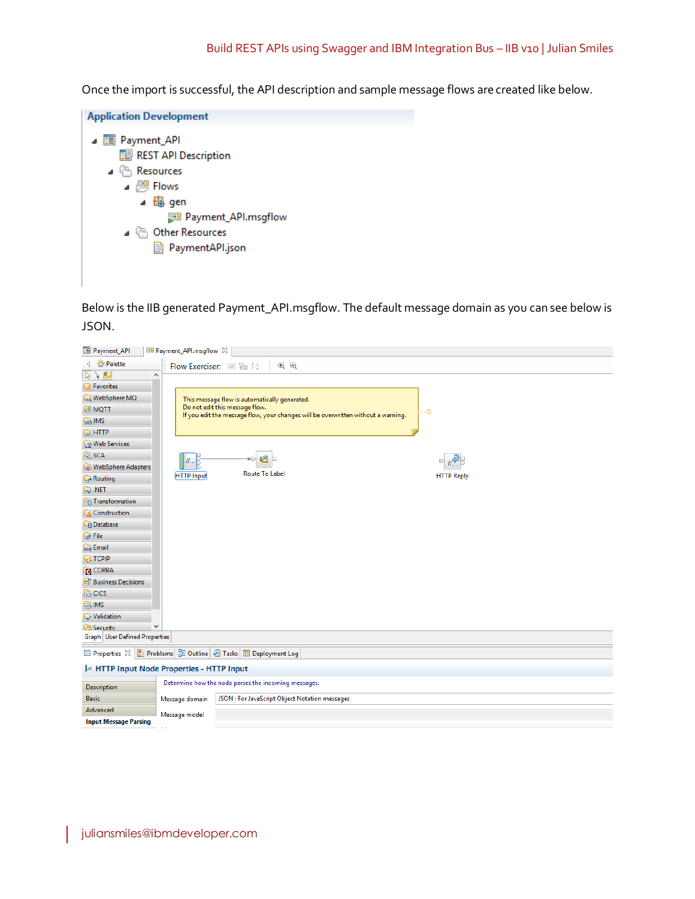Once the import is successful, the API description and sample message flows are created like below.



Below is the IIB generated Payment\_API.msgflow. The default message domain as you can see below is JSON.

| Payment_API                      | BB Payment_API.msgflow 23                                                                                                 |
|----------------------------------|---------------------------------------------------------------------------------------------------------------------------|
| <b>4 % Palette</b>               | $\Theta$ $\Theta$<br>Flow Exerciser: ■ 踰 以                                                                                |
| $\frac{1}{2}$ $\frac{1}{2}$<br>۸ |                                                                                                                           |
| <b>Favorites</b>                 |                                                                                                                           |
| <b>Manufacture MQ</b>            | This message flow is automatically generated.                                                                             |
| <b>GP MOTT</b>                   | Do not edit this message flow.<br>-0<br>If you edit the message flow, your changes will be overwritten without a warning. |
| <b>Gms JMS</b>                   |                                                                                                                           |
| <b>Co</b> HTTP                   |                                                                                                                           |
| <b>Web Services</b>              |                                                                                                                           |
| ତ୍ର SCA                          | 隘<br>                                                                                                                     |
| <b>WebSphere Adapters</b>        | <b>Route To Label</b>                                                                                                     |
| <b>C</b> <sub>r</sub> Routing    | <b>HTTP Input</b><br><b>HTTP Reply</b>                                                                                    |
| NET                              |                                                                                                                           |
| <sup>G</sup> Transformation      |                                                                                                                           |
| Construction                     |                                                                                                                           |
| -n Database                      |                                                                                                                           |
| <b>B</b> File                    |                                                                                                                           |
| s <sub>mb</sub> Email            |                                                                                                                           |
| <b>B</b> TCPIP                   |                                                                                                                           |
| <b>CORBA</b>                     |                                                                                                                           |
| <sup>8</sup> Business Decisions  |                                                                                                                           |
| <b>C<sub>CC</sub></b> CICS       |                                                                                                                           |
| <b>G</b> <sub>ms</sub> IMS       |                                                                                                                           |
| Validation                       |                                                                                                                           |
| ٧<br><b>CA</b> Security          |                                                                                                                           |
| Graph User Defined Properties    |                                                                                                                           |
|                                  | Deployment Log Problems <b>BE</b> Outline <b>GE</b> Tasks <b>EE</b> Deployment Log                                        |
|                                  | I <sup>2</sup> HTTP Input Node Properties - HTTP Input                                                                    |
| <b>Description</b>               | Determine how the node parses the incoming messages.                                                                      |

| <b>Description</b>    |                | Determine how the node parses the incoming messages. |  |  |  |  |
|-----------------------|----------------|------------------------------------------------------|--|--|--|--|
| <b>Basic</b>          | Message domain | JSON : For JavaScript Object Notation messages       |  |  |  |  |
| Advanced              | Message model  |                                                      |  |  |  |  |
| Input Message Parsing |                |                                                      |  |  |  |  |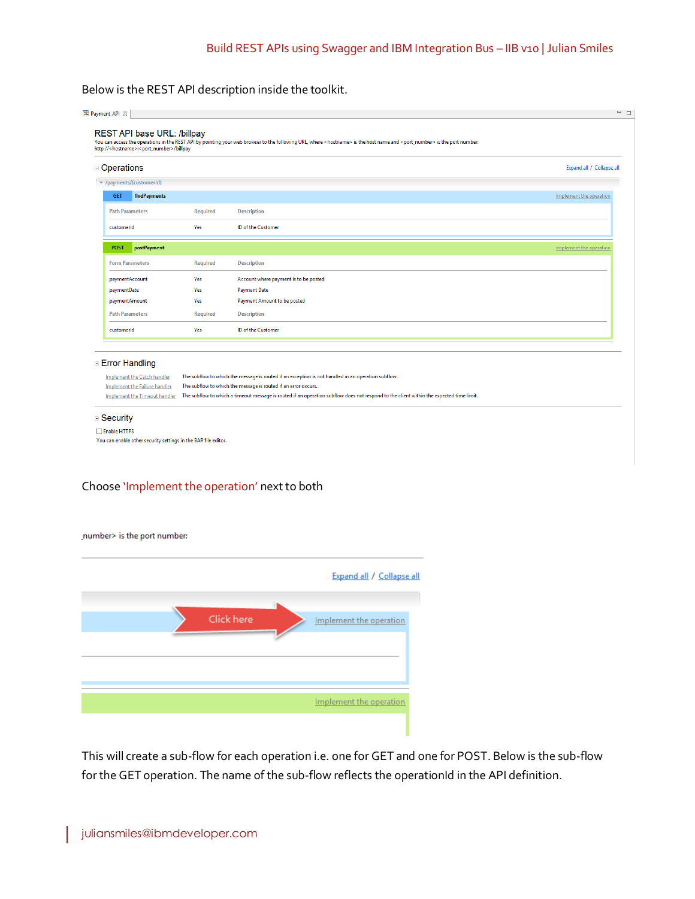#### Below is the REST API description inside the toolkit.

| □ Operations                         |                 |                                                                                                                                         | Expand all / Collapse all |
|--------------------------------------|-----------------|-----------------------------------------------------------------------------------------------------------------------------------------|---------------------------|
| v /payments/{customerId}             |                 |                                                                                                                                         |                           |
| findPayments<br><b>GET</b>           |                 |                                                                                                                                         | Implement the operation   |
| <b>Path Parameters</b>               | <b>Required</b> | <b>Description</b>                                                                                                                      |                           |
| customerid                           | Yes             | ID of the Customer                                                                                                                      |                           |
| postPayment<br><b>POST</b>           |                 |                                                                                                                                         | Implement the operation   |
| <b>Form Parameters</b>               | Required        | <b>Description</b>                                                                                                                      |                           |
| paymentAccount                       | Yes             | Account where payment is to be posted                                                                                                   |                           |
| paymentDate                          | Yes             | <b>Payment Date</b>                                                                                                                     |                           |
| paymentAmount                        | Yes             | Payment Amount to be posted                                                                                                             |                           |
| <b>Path Parameters</b>               | <b>Required</b> | <b>Description</b>                                                                                                                      |                           |
| customerid                           | Yes             | ID of the Customer                                                                                                                      |                           |
| □ Error Handling                     |                 |                                                                                                                                         |                           |
| <b>Implement the Catch handler</b>   |                 | The subflow to which the message is routed if an exception is not handled in an operation subflow.                                      |                           |
| Implement the Failure handler        |                 | The subflow to which the message is routed if an error occurs.                                                                          |                           |
| <b>Implement the Timeout handler</b> |                 | The subflow to which a timeout message is routed if an operation subflow does not respond to the client within the expected time limit. |                           |

#### Choose 'Implement the operation' next to both

#### number> is the port number:

|  |            | Expand all / Collapse all |
|--|------------|---------------------------|
|  | Click here | Implement the operation   |
|  |            |                           |
|  |            | Implement the operation   |
|  |            |                           |

This will create a sub-flow for each operation i.e. one for GET and one for POST. Below is the sub-flow for the GET operation. The name of the sub-flow reflects the operationId in the API definition.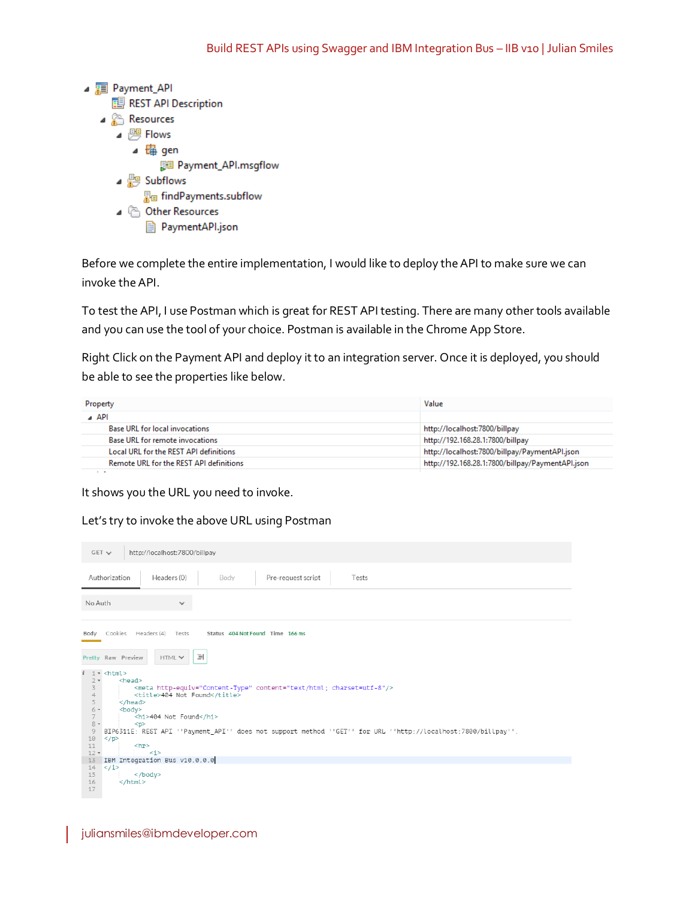

Before we complete the entire implementation, I would like to deploy the API to make sure we can invoke the API.

To test the API, I use Postman which is great for REST API testing. There are many other tools available and you can use the tool of your choice. Postman is available in the Chrome App Store.

Right Click on the Payment API and deploy it to an integration server. Once it is deployed, you should be able to see the properties like below.

| Property                                       | Value                                            |
|------------------------------------------------|--------------------------------------------------|
| ⊿ API                                          |                                                  |
| <b>Base URL for local invocations</b>          | http://localhost:7800/billpay                    |
| Base URL for remote invocations                | http://192.168.28.1:7800/billpay                 |
| Local URL for the REST API definitions         | http://localhost:7800/billpay/PaymentAPI.json    |
| <b>Remote URL for the REST API definitions</b> | http://192.168.28.1:7800/billpay/PaymentAPI.json |
| . .                                            |                                                  |

It shows you the URL you need to invoke.

Let's try to invoke the above URL using Postman

| $GET \sim$              | http://localhost:7800/billpay                                                                                 |
|-------------------------|---------------------------------------------------------------------------------------------------------------|
|                         | Authorization<br>Headers (0)<br>Pre-request script<br>Body<br>Tests                                           |
| No Auth                 | $\checkmark$                                                                                                  |
|                         | Body Cookies Headers (4) Tests Status 404 Not Found Time 166 ms                                               |
|                         | $\equiv$<br>Pretty Raw Preview<br>HTML V                                                                      |
|                         | $i \leq 1$ - <html></html>                                                                                    |
| $2 -$                   | <head></head>                                                                                                 |
| 3                       | <meta content="text/html; charset=utf-8" http-equiv="Content-Type"/>                                          |
| $\overline{4}$          | <title>404 Not Found</title>                                                                                  |
| 5                       | $<$ /head>                                                                                                    |
| $6 -$<br>$\overline{7}$ | <body></body>                                                                                                 |
| $8 -$                   | <h1>404 Not Found</h1><br>< p >                                                                               |
| 9                       | BIP6311E: REST API ''Payment API'' does not support method ''GET'' for URL ''http://localhost:7800/billpay''. |
| 10                      | $<$ /p>                                                                                                       |
| 11                      | $\langle$ hr>                                                                                                 |
| $12 -$                  | $\langle i \rangle$                                                                                           |
| 13                      | IBM Integration Bus v10.0.0.0                                                                                 |
|                         | $14 \le j \le 1$                                                                                              |
| 15                      | $<$ /body>                                                                                                    |
| 16                      | $<$ /html>                                                                                                    |
| 17                      |                                                                                                               |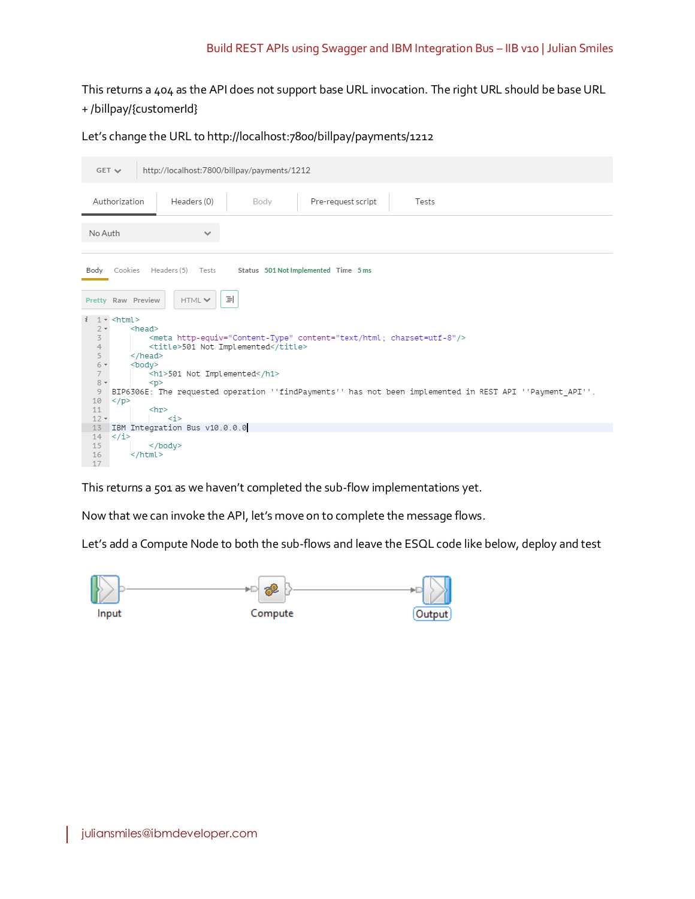### Build REST APIs using Swagger and IBM Integration Bus – IIB v10 | Julian Smiles

# This returns a 404 as the API does not support base URL invocation. The right URL should be base URL + /billpay/{customerId}

Let's change the URL to http://localhost:7800/billpay/payments/1212

| $GET \vee$               | http://localhost:7800/billpay/payments/1212                                                              |
|--------------------------|----------------------------------------------------------------------------------------------------------|
|                          | Pre-request script<br>Authorization<br>Headers (0)<br>Body<br>Tests                                      |
| No Auth                  | $\checkmark$                                                                                             |
|                          | Body Cookies Headers (5) Tests<br>Status 501 Not Implemented Time 5 ms                                   |
|                          | 릐<br>Pretty Raw Preview<br>HTML V                                                                        |
| $\mathbf{i}$             | $1 -$ <html></html>                                                                                      |
| $2 -$<br>3               | $<$ head $>$<br><meta content="text/html; charset=utf-8" http-equiv="Content-Type"/>                     |
| $\overline{4}$           | <title>501 Not Implemented</title>                                                                       |
| 5                        | $<$ /head>                                                                                               |
| $6 -$<br>$7\overline{ }$ | $<$ body $>$<br><h1>501 Not Implemented</h1>                                                             |
| $8 -$                    | < p                                                                                                      |
| 9                        | BIP6306E: The requested operation ''findPayments'' has not been implemented in REST API ''Payment API''. |
| 10                       | $\langle p \rangle$                                                                                      |
| 11                       | <br>hr <sup>2</sup>                                                                                      |
| $12 -$<br>13             | $\langle i \rangle$<br>IBM Integration Bus v10.0.0.0                                                     |
| 14                       | $\langle$ /i>                                                                                            |
| 15                       | $<$ /body>                                                                                               |
| 16                       | $<$ /html>                                                                                               |
| 17                       |                                                                                                          |

This returns a 501 as we haven't completed the sub-flow implementations yet.

Now that we can invoke the API, let's move on to complete the message flows.

Let's add a Compute Node to both the sub-flows and leave the ESQL code like below, deploy and test

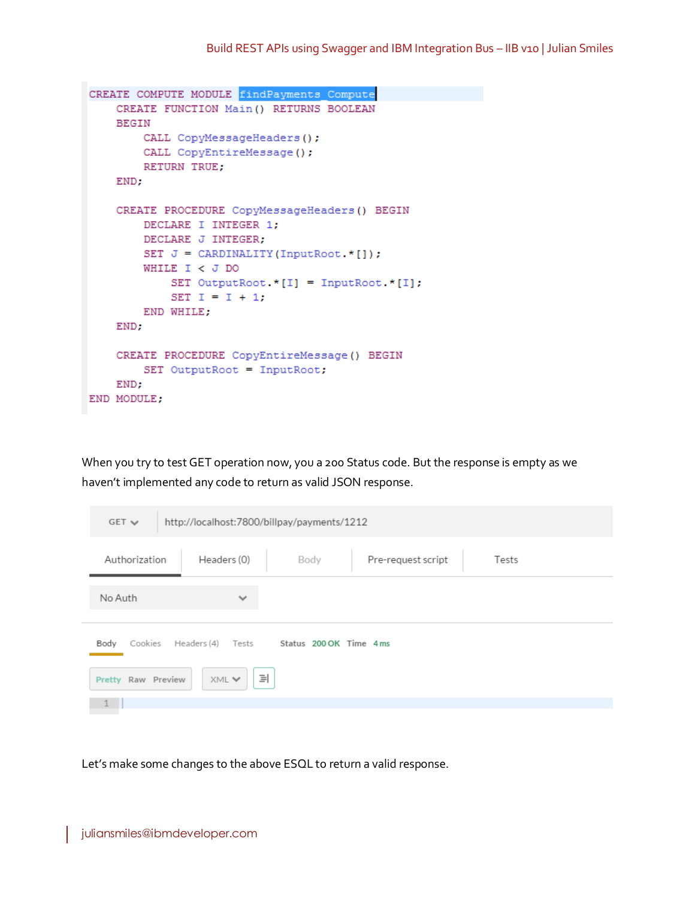```
CREATE COMPUTE MODULE findPayments Compute
    CREATE FUNCTION Main () RETURNS BOOLEAN
    BEGIN
        CALL CopyMessageHeaders();
        CALL CopyEntireMessage();
        RETURN TRUE;
    END;
    CREATE PROCEDURE CopyMessageHeaders() BEGIN
       DECLARE I INTEGER 1;
        DECLARE J INTEGER;
        SET J = \text{CARDINALITY}(\text{InputRoot.} * []):WHILE I < J DO
            SET OutputRoot. * [I] = InputRoot. * [I];
            SET I = I + 1;
        END WHILE;
    END;
    CREATE PROCEDURE CopyEntireMessage() BEGIN
       SET OutputRoot = InputRoot;
    END:
END MODULE;
```
When you try to test GET operation now, you a 200 Status code. But the response is empty as we haven't implemented any code to return as valid JSON response.

| $GET \vee$                                                   | http://localhost:7800/billpay/payments/1212 |      |                    |  |       |  |
|--------------------------------------------------------------|---------------------------------------------|------|--------------------|--|-------|--|
| Authorization                                                | Headers (0)                                 | Body | Pre-request script |  | Tests |  |
| No Auth                                                      | $\checkmark$                                |      |                    |  |       |  |
| Status 200 OK Time 4 ms<br>Cookies Headers (4) Tests<br>Body |                                             |      |                    |  |       |  |
| 릐<br>XML V<br>Pretty Raw Preview                             |                                             |      |                    |  |       |  |
|                                                              |                                             |      |                    |  |       |  |

Let's make some changes to the above ESQL to return a valid response.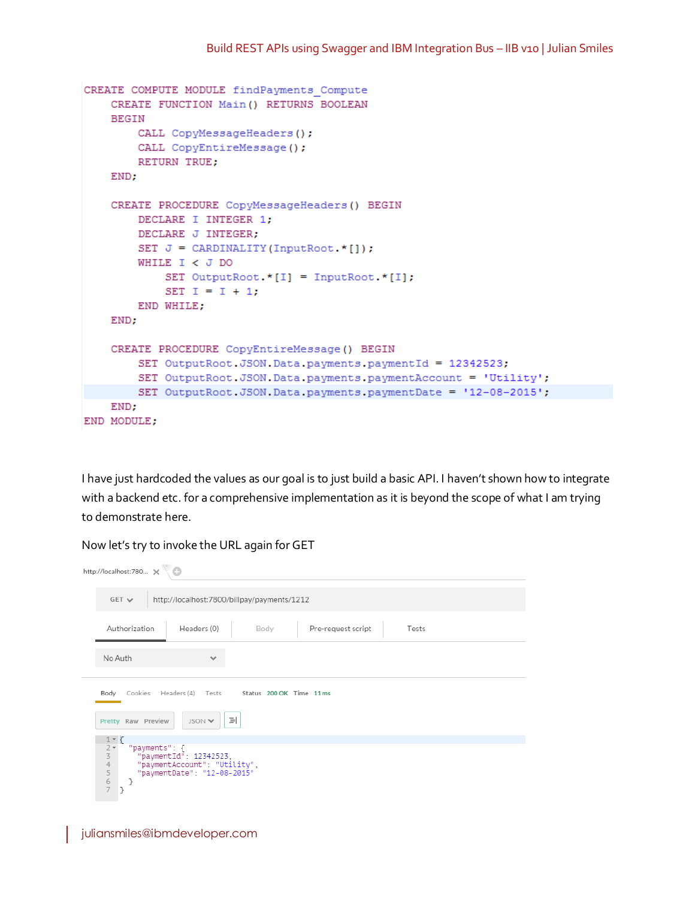```
CREATE COMPUTE MODULE findPayments Compute
   CREATE FUNCTION Main () RETURNS BOOLEAN
   BEGIN
        CALL CopyMessageHeaders();
        CALL CopyEntireMessage();
        RETURN TRUE;
    END:
   CREATE PROCEDURE CopyMessageHeaders() BEGIN
        DECLARE I INTEGER 1;
        DECLARE J INTEGER;
        SET J = \text{CARDIMALITY(InputRoot.*[]))}WHILE I < J DO
            SET OutputRoot *[I] = InputRoot.*[I];
            SET I = I + 1;
        END WHILE;
   END;
   CREATE PROCEDURE CopyEntireMessage() BEGIN
        SET OutputRoot. JSON. Data. payments. paymentId = 12342523;
        SET OutputRoot. JSON. Data. payments. paymentAccount = 'Utility';
        SET OutputRoot. JSON. Data. payments. paymentDate = '12-08-2015';
   END;
END MODULE:
```
I have just hardcoded the values as our goal is to just build a basic API. I haven't shown how to integrate with a backend etc. for a comprehensive implementation as it is beyond the scope of what I am trying to demonstrate here.

| http://localhost:780 X                                                                                                                                                                                                                      |                                                                     |  |  |  |  |  |  |
|---------------------------------------------------------------------------------------------------------------------------------------------------------------------------------------------------------------------------------------------|---------------------------------------------------------------------|--|--|--|--|--|--|
|                                                                                                                                                                                                                                             | http://localhost:7800/billpay/payments/1212<br>$GET \vee$           |  |  |  |  |  |  |
|                                                                                                                                                                                                                                             | Headers (0)<br>Authorization<br>Pre-request script<br>Tests<br>Body |  |  |  |  |  |  |
|                                                                                                                                                                                                                                             | No Auth<br>$\checkmark$                                             |  |  |  |  |  |  |
| Cookies Headers (4) Tests Status 200 OK Time 11 ms<br>Body<br>릐<br>Pretty Raw Preview<br>JSON V                                                                                                                                             |                                                                     |  |  |  |  |  |  |
| $1 - \zeta$<br>$\frac{2}{3}$ $\star$<br>"payments": {<br>"paymentId": 12342523,<br>$\ensuremath{\mathnormal{\textbf{4}}}$<br>"paymentAccount": "Utility",<br>$\begin{array}{c} 5 \\ 6 \\ 7 \end{array}$<br>"paymentDate": "12-08-2015"<br>ł |                                                                     |  |  |  |  |  |  |

Now let's try to invoke the URL again for GET